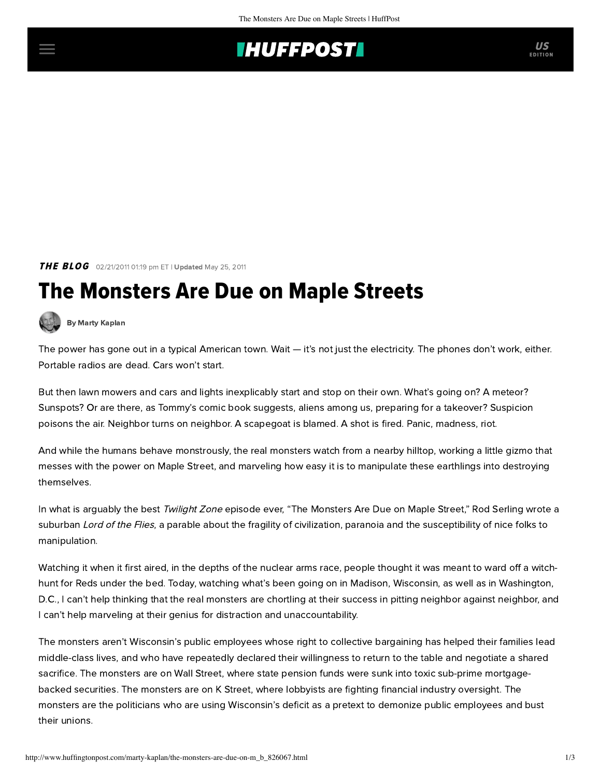## **THUFFPOSTI** US

THE BLOG 02/21/2011 01:19 pm ET | Updated May 25, 2011

## The Monsters Are Due on Maple Streets



[By Marty Kaplan](http://www.huffingtonpost.com/author/marty-kaplan)

The power has gone out in a typical American town. Wait — it's not just the electricity. The phones don't work, either. Portable radios are dead. Cars won't start.

But then lawn mowers and cars and lights inexplicably start and stop on their own. What's going on? A meteor? Sunspots? Or are there, as Tommy's comic book suggests, aliens among us, preparing for a takeover? Suspicion poisons the air. Neighbor turns on neighbor. A scapegoat is blamed. A shot is fired. Panic, madness, riot.

And while the humans behave monstrously, the real monsters watch from a nearby hilltop, working a little gizmo that messes with the power on Maple Street, and marveling how easy it is to manipulate these earthlings into destroying themselves.

In what is arguably the best Twilight Zone episode ever, "[The Monsters Are Due on Maple Street](http://www.youtube.com/watch?v=TJyaBxYjWcQ&feature=related)," Rod Serling wrote a suburban Lord of the Flies, a parable about the fragility of civilization, paranoia and the susceptibility of nice folks to manipulation.

Watching it when it first aired, in the depths of the nuclear arms race, people thought it was meant to ward off a witchhunt for Reds under the bed. Today, watching what's been going on in Madison, Wisconsin, as well as in Washington, D.C., I can't help thinking that the real monsters are chortling at their success in pitting neighbor against neighbor, and I can't help marveling at their genius for distraction and unaccountability.

The monsters aren't Wisconsin's public employees whose right to collective bargaining has helped their families lead middle-class lives, and who have repeatedly [declared](http://www.youtube.com/watch?v=TJyaBxYjWcQ&feature=related) their willingness to return to the table and negotiate a shared sacrifice. The monsters are on Wall Street, where state pension funds were sunk into toxic sub-prime mortgagebacked securities. The monsters are on K Street, where lobbyists are fighting financial industry oversight. The monsters are the politicians who are using Wisconsin's deficit as a pretext to [demonize](http://anticap.wordpress.com/2011/02/12/scapegoating-public-sector-workers/) public employees and bust their unions.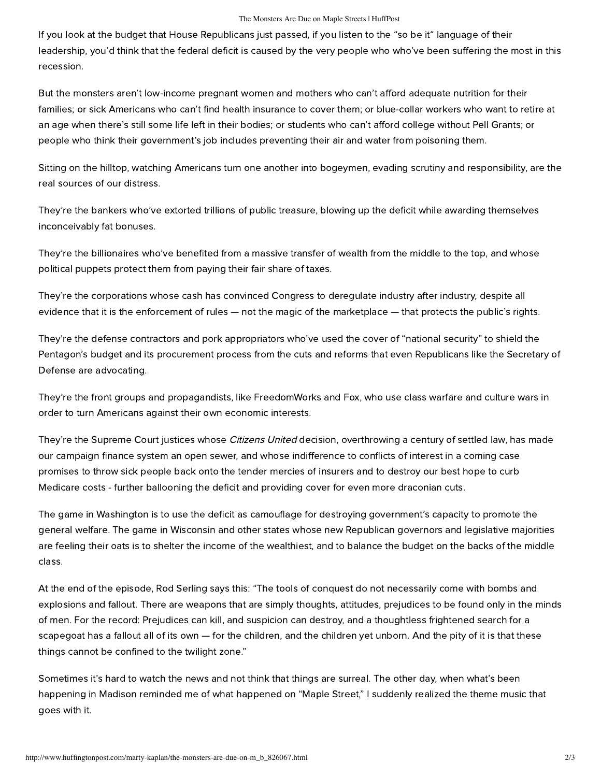## The Monsters Are Due on Maple Streets | HuffPost

If you look at the budget that House Republicans just passed, if you listen to the ["so be it"](http://tpmdc.talkingpointsmemo.com/2011/02/boehner-if-jobs-are-lost-as-a-result-of-gop-spending-cuts-so-be-it.php) language of their leadership, you'd think that the federal deficit is caused by the very people who who've been suffering the most in this recession.

But the monsters aren't low-income [pregnant women and mothers](http://articles.latimes.com/2011/feb/11/nation/la-na-gop-budget-20110212) who can't afford adequate nutrition for their families; or sick Americans who can't find [health](http://www.politico.com/news/stories/0211/49385.html) insurance to cover them; or [blue-collar](http://www.nhregister.com/articles/2010/11/12/opinion/doc4cdc7e6764d1f745461200.txt?viewmode=fullstory) workers who want to retire at an age when there's still some life left in their bodies; or students who can't afford college without [Pell Grants](http://chronicle.com/article/House-Republicans-Spending/126356/); or people who think their government's job includes preventing their air and water from [poisoning](http://www.ens-newswire.com/ens/feb2011/2011-02-19-01.html) them.

Sitting on the hilltop, watching Americans turn one another into bogeymen, evading scrutiny and responsibility, are the real sources of our distress.

They're the bankers who've extorted trillions of public treasure, blowing up the deficit while awarding themselves inconceivably fat bonuses.

They're the [billionaires](http://motherjones.com/mojo/2011/02/wisconsin-scott-walker-koch-brothers) who've benefited from a massive transfer of wealth from the middle to the top, and whose political puppets protect them from paying their fair share of taxes.

They're the corporations whose cash has convinced Congress to deregulate industry after industry, despite all evidence that it is the enforcement of rules — not the magic of the marketplace — that protects the public's rights.

They're the defense contractors and pork appropriators who've used the cover of "national security" to shield the Pentagon's budget and its procurement process from the cuts and reforms that even Republicans like the Secretary of Defense are advocating.

They're the front groups and propagandists, like FreedomWorks and Fox, who use class warfare and culture wars in order to turn Americans against their own economic interests.

They're the Supreme Court justices whose *Citizens United* decision, overthrowing a century of settled law, has made our campaign finance system an open sewer, and whose indifference to [conflicts of interest](http://www.chicagotribune.com/news/nationworld/sc-dc-0121-court-conflict-20110120,0,6839879.story) ina [coming case](http://www.progressivenewsdaily.com/?p=12312) promises to throw sick people back onto the tender mercies of insurers and to destroy our best hope to curb Medicare costs - further ballooning the deficit and providing cover for even more draconian cuts.

The game in Washington is to use the deficit as camouflage for destroying government's capacity to promote the general welfare. The game in Wisconsin and other states whose new Republican governors and legislative majorities are feeling their oats is to shelter the income of the wealthiest, and to balance the budget on the backs of the middle class.

At the end of the episode, Rod Serling says this: "The tools of conquest do not necessarily come with bombs and explosions and fallout. There are weapons that are simply thoughts, attitudes, prejudices to be found only in the minds of men. For the record: Prejudices can kill, and suspicion can destroy, and a thoughtless frightened search for a scapegoat has a fallout all of its own — for the children, and the children yet unborn. And the pity of it is that these things cannot be confined to the twilight zone."

Sometimes it's hard to watch the news and not think that things are surreal. The other day, when what's been happening in Madison reminded me of what happened on "Maple Street," I suddenly realized the theme music that goes with it.